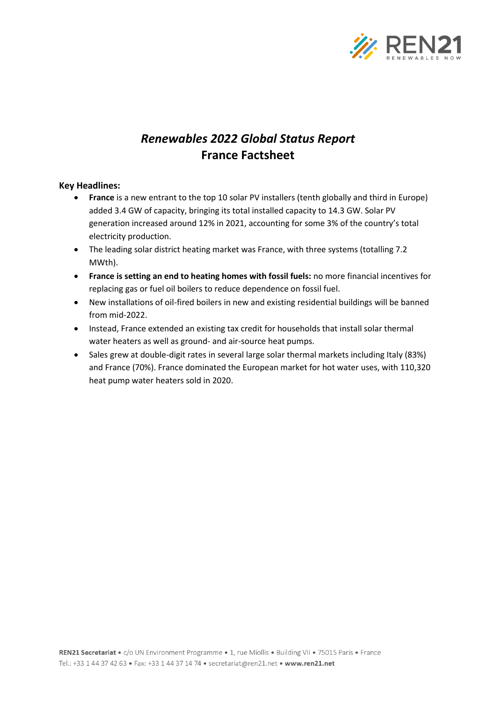

# *Renewables 2022 Global Status Report* **France Factsheet**

## **Key Headlines:**

- **France** is a new entrant to the top 10 solar PV installers (tenth globally and third in Europe) added 3.4 GW of capacity, bringing its total installed capacity to 14.3 GW. Solar PV generation increased around 12% in 2021, accounting for some 3% of the country's total electricity production.
- The leading solar district heating market was France, with three systems (totalling 7.2 MWth).
- **France is setting an end to heating homes with fossil fuels:** no more financial incentives for replacing gas or fuel oil boilers to reduce dependence on fossil fuel.
- New installations of oil-fired boilers in new and existing residential buildings will be banned from mid-2022.
- Instead, France extended an existing tax credit for households that install solar thermal water heaters as well as ground- and air-source heat pumps.
- Sales grew at double-digit rates in several large solar thermal markets including Italy (83%) and France (70%). France dominated the European market for hot water uses, with 110,320 heat pump water heaters sold in 2020.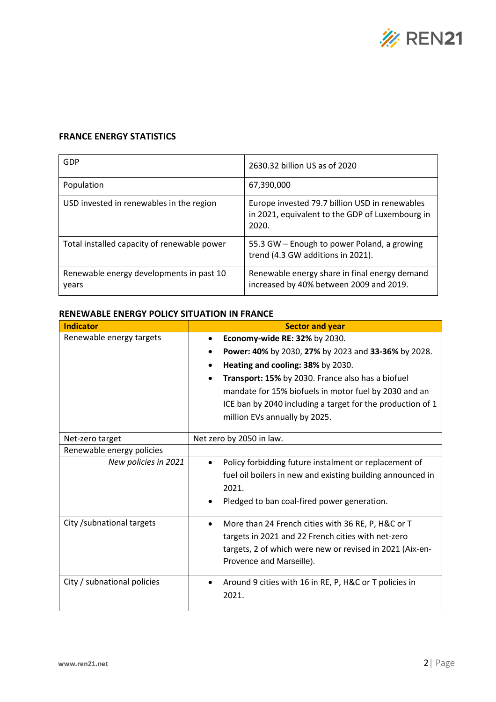

## **FRANCE ENERGY STATISTICS**

| GDP                                               | 2630.32 billion US as of 2020                                                                              |
|---------------------------------------------------|------------------------------------------------------------------------------------------------------------|
| Population                                        | 67,390,000                                                                                                 |
| USD invested in renewables in the region          | Europe invested 79.7 billion USD in renewables<br>in 2021, equivalent to the GDP of Luxembourg in<br>2020. |
| Total installed capacity of renewable power       | 55.3 GW – Enough to power Poland, a growing<br>trend (4.3 GW additions in 2021).                           |
| Renewable energy developments in past 10<br>years | Renewable energy share in final energy demand<br>increased by 40% between 2009 and 2019.                   |

### **RENEWABLE ENERGY POLICY SITUATION IN FRANCE**

| <b>Indicator</b>            | <b>Sector and year</b>                                              |  |
|-----------------------------|---------------------------------------------------------------------|--|
| Renewable energy targets    | Economy-wide RE: 32% by 2030.<br>$\bullet$                          |  |
|                             | Power: 40% by 2030, 27% by 2023 and 33-36% by 2028.                 |  |
|                             | Heating and cooling: 38% by 2030.                                   |  |
|                             | Transport: 15% by 2030. France also has a biofuel<br>$\bullet$      |  |
|                             | mandate for 15% biofuels in motor fuel by 2030 and an               |  |
|                             | ICE ban by 2040 including a target for the production of 1          |  |
|                             | million EVs annually by 2025.                                       |  |
| Net-zero target             | Net zero by 2050 in law.                                            |  |
| Renewable energy policies   |                                                                     |  |
| New policies in 2021        | Policy forbidding future instalment or replacement of               |  |
|                             | fuel oil boilers in new and existing building announced in          |  |
|                             | 2021.                                                               |  |
|                             | Pledged to ban coal-fired power generation.                         |  |
| City /subnational targets   | More than 24 French cities with 36 RE, P, H&C or T<br>$\bullet$     |  |
|                             | targets in 2021 and 22 French cities with net-zero                  |  |
|                             | targets, 2 of which were new or revised in 2021 (Aix-en-            |  |
|                             | Provence and Marseille).                                            |  |
| City / subnational policies | Around 9 cities with 16 in RE, P, H&C or T policies in<br>$\bullet$ |  |
|                             | 2021.                                                               |  |
|                             |                                                                     |  |